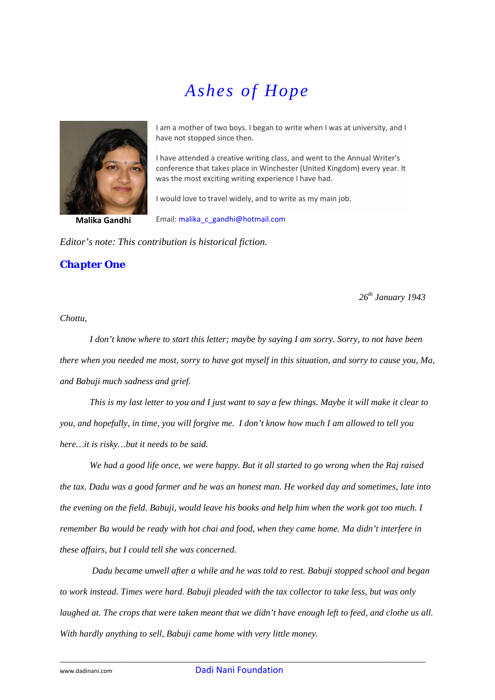## *Ashes of Hope*



**Malika Gandhi**

I am a mother of two boys. I began to write when I was at university, and I have not stopped since then.

I have attended a creative writing class, and went to the Annual Writer's conference that takes place in Winchester (United Kingdom) every year. It was the most exciting writing experience I have had.

I would love to travel widely, and to write as my main job.

Email: [malika\\_c\\_gandhi@hotmail.com](mailto:malika_c_gandhi@hotmail.com)

*Editor's note: This contribution is historical fiction.* 

*Chapter One* 

*26th January 1943* 

*Chottu,* 

*I don't know where to start this letter; maybe by saying I am sorry. Sorry, to not have been there when you needed me most, sorry to have got myself in this situation, and sorry to cause you, Ma, and Babuji much sadness and grief.* 

 *This is my last letter to you and I just want to say a few things. Maybe it will make it clear to you, and hopefully, in time, you will forgive me. I don't know how much I am allowed to tell you here…it is risky…but it needs to be said.* 

 *We had a good life once, we were happy. But it all started to go wrong when the Raj raised the tax. Dadu was a good farmer and he was an honest man. He worked day and sometimes, late into the evening on the field. Babuji, would leave his books and help him when the work got too much. I remember Ba would be ready with hot chai and food, when they came home. Ma didn't interfere in these affairs, but I could tell she was concerned.* 

 *Dadu became unwell after a while and he was told to rest. Babuji stopped school and began to work instead. Times were hard. Babuji pleaded with the tax collector to take less, but was only laughed at. The crops that were taken meant that we didn't have enough left to feed, and clothe us all. With hardly anything to sell, Babuji came home with very little money.*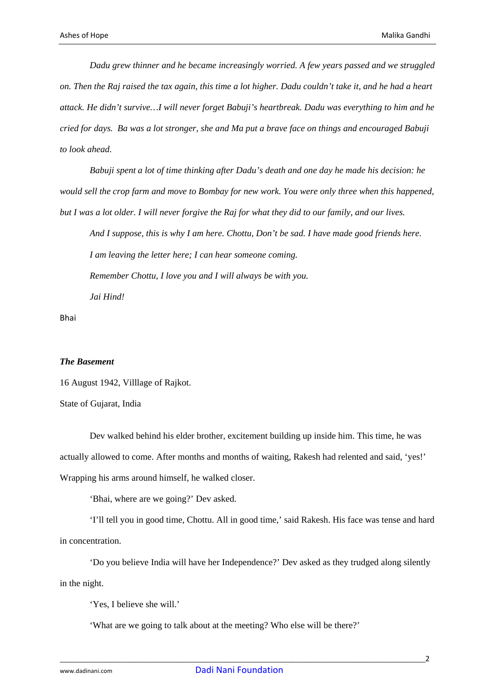*Dadu grew thinner and he became increasingly worried. A few years passed and we struggled on. Then the Raj raised the tax again, this time a lot higher. Dadu couldn't take it, and he had a heart attack. He didn't survive…I will never forget Babuji's heartbreak. Dadu was everything to him and he cried for days. Ba was a lot stronger, she and Ma put a brave face on things and encouraged Babuji to look ahead.* 

 *Babuji spent a lot of time thinking after Dadu's death and one day he made his decision: he would sell the crop farm and move to Bombay for new work. You were only three when this happened, but I was a lot older. I will never forgive the Raj for what they did to our family, and our lives.* 

*And I suppose, this is why I am here. Chottu, Don't be sad. I have made good friends here. I am leaving the letter here; I can hear someone coming. Remember Chottu, I love you and I will always be with you. Jai Hind!* 

Bhai

## *The Basement*

16 August 1942, Villlage of Rajkot.

State of Gujarat, India

Dev walked behind his elder brother, excitement building up inside him. This time, he was actually allowed to come. After months and months of waiting, Rakesh had relented and said, 'yes!' Wrapping his arms around himself, he walked closer.

'Bhai, where are we going?' Dev asked.

'I'll tell you in good time, Chottu. All in good time,' said Rakesh. His face was tense and hard in concentration.

'Do you believe India will have her Independence?' Dev asked as they trudged along silently in the night.

'Yes, I believe she will.'

'What are we going to talk about at the meeting? Who else will be there?'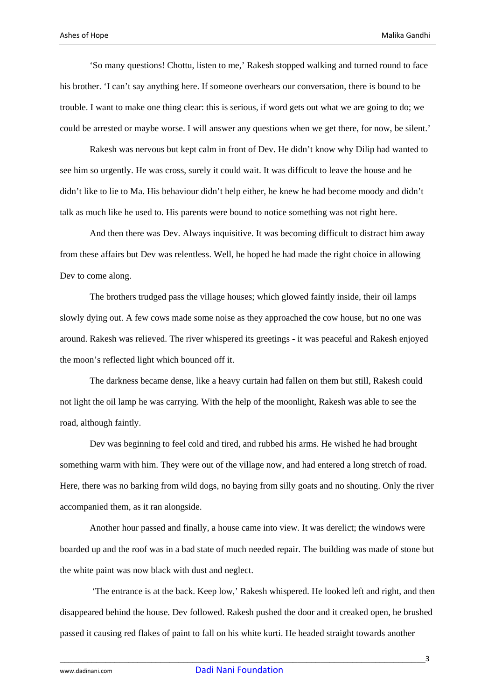'So many questions! Chottu, listen to me,' Rakesh stopped walking and turned round to face his brother. 'I can't say anything here. If someone overhears our conversation, there is bound to be trouble. I want to make one thing clear: this is serious, if word gets out what we are going to do; we could be arrested or maybe worse. I will answer any questions when we get there, for now, be silent.'

Rakesh was nervous but kept calm in front of Dev. He didn't know why Dilip had wanted to see him so urgently. He was cross, surely it could wait. It was difficult to leave the house and he didn't like to lie to Ma. His behaviour didn't help either, he knew he had become moody and didn't talk as much like he used to. His parents were bound to notice something was not right here.

And then there was Dev. Always inquisitive. It was becoming difficult to distract him away from these affairs but Dev was relentless. Well, he hoped he had made the right choice in allowing Dev to come along.

The brothers trudged pass the village houses; which glowed faintly inside, their oil lamps slowly dying out. A few cows made some noise as they approached the cow house, but no one was around. Rakesh was relieved. The river whispered its greetings - it was peaceful and Rakesh enjoyed the moon's reflected light which bounced off it.

The darkness became dense, like a heavy curtain had fallen on them but still, Rakesh could not light the oil lamp he was carrying. With the help of the moonlight, Rakesh was able to see the road, although faintly.

Dev was beginning to feel cold and tired, and rubbed his arms. He wished he had brought something warm with him. They were out of the village now, and had entered a long stretch of road. Here, there was no barking from wild dogs, no baying from silly goats and no shouting. Only the river accompanied them, as it ran alongside.

Another hour passed and finally, a house came into view. It was derelict; the windows were boarded up and the roof was in a bad state of much needed repair. The building was made of stone but the white paint was now black with dust and neglect.

 'The entrance is at the back. Keep low,' Rakesh whispered. He looked left and right, and then disappeared behind the house. Dev followed. Rakesh pushed the door and it creaked open, he brushed passed it causing red flakes of paint to fall on his white kurti. He headed straight towards another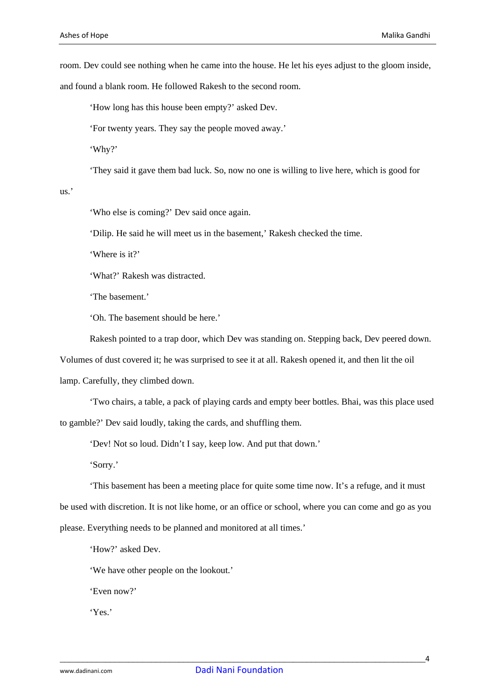room. Dev could see nothing when he came into the house. He let his eyes adjust to the gloom inside,

and found a blank room. He followed Rakesh to the second room.

'How long has this house been empty?' asked Dev.

'For twenty years. They say the people moved away.'

'Why?'

'They said it gave them bad luck. So, now no one is willing to live here, which is good for

## us.'

'Who else is coming?' Dev said once again.

'Dilip. He said he will meet us in the basement,' Rakesh checked the time.

'Where is it?'

'What?' Rakesh was distracted.

'The basement.'

'Oh. The basement should be here.'

Rakesh pointed to a trap door, which Dev was standing on. Stepping back, Dev peered down.

Volumes of dust covered it; he was surprised to see it at all. Rakesh opened it, and then lit the oil

lamp. Carefully, they climbed down.

'Two chairs, a table, a pack of playing cards and empty beer bottles. Bhai, was this place used to gamble?' Dev said loudly, taking the cards, and shuffling them.

'Dev! Not so loud. Didn't I say, keep low. And put that down.'

'Sorry.'

'This basement has been a meeting place for quite some time now. It's a refuge, and it must be used with discretion. It is not like home, or an office or school, where you can come and go as you please. Everything needs to be planned and monitored at all times.'

'How?' asked Dev.

'We have other people on the lookout.'

'Even now?'

'Yes.'

\_\_\_\_\_\_\_\_\_\_\_\_\_\_\_\_\_\_\_\_\_\_\_\_\_\_\_\_\_\_\_\_\_\_\_\_\_\_\_\_\_\_\_\_\_\_\_\_\_\_\_\_\_\_\_\_\_\_\_\_\_\_\_\_\_\_\_\_\_\_\_\_\_\_\_\_\_\_\_\_4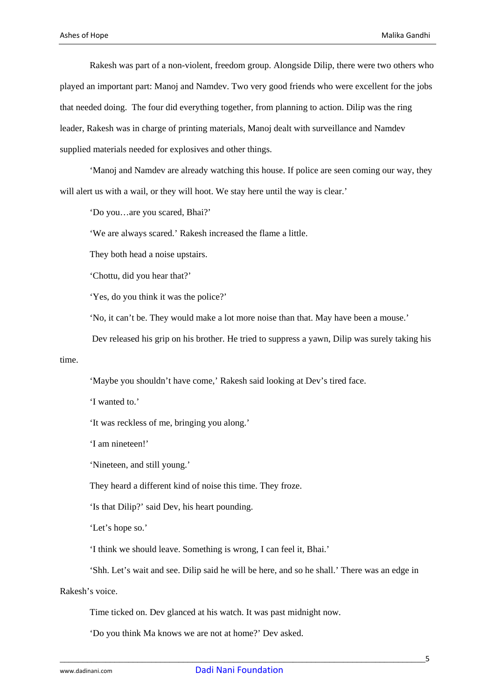Rakesh was part of a non-violent, freedom group. Alongside Dilip, there were two others who played an important part: Manoj and Namdev. Two very good friends who were excellent for the jobs that needed doing. The four did everything together, from planning to action. Dilip was the ring leader, Rakesh was in charge of printing materials, Manoj dealt with surveillance and Namdev supplied materials needed for explosives and other things.

'Manoj and Namdev are already watching this house. If police are seen coming our way, they will alert us with a wail, or they will hoot. We stay here until the way is clear.'

'Do you…are you scared, Bhai?'

'We are always scared.' Rakesh increased the flame a little.

They both head a noise upstairs.

'Chottu, did you hear that?'

'Yes, do you think it was the police?'

'No, it can't be. They would make a lot more noise than that. May have been a mouse.'

Dev released his grip on his brother. He tried to suppress a yawn, Dilip was surely taking his

time.

'Maybe you shouldn't have come,' Rakesh said looking at Dev's tired face.

'I wanted to.'

'It was reckless of me, bringing you along.'

'I am nineteen!'

'Nineteen, and still young.'

They heard a different kind of noise this time. They froze.

'Is that Dilip?' said Dev, his heart pounding.

'Let's hope so.'

'I think we should leave. Something is wrong, I can feel it, Bhai.'

'Shh. Let's wait and see. Dilip said he will be here, and so he shall.' There was an edge in

Rakesh's voice.

Time ticked on. Dev glanced at his watch. It was past midnight now.

'Do you think Ma knows we are not at home?' Dev asked.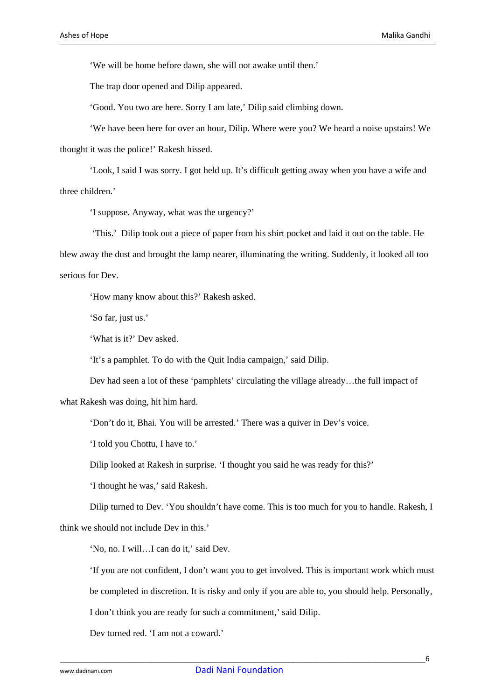'We will be home before dawn, she will not awake until then.'

The trap door opened and Dilip appeared.

'Good. You two are here. Sorry I am late,' Dilip said climbing down.

'We have been here for over an hour, Dilip. Where were you? We heard a noise upstairs! We thought it was the police!' Rakesh hissed.

'Look, I said I was sorry. I got held up. It's difficult getting away when you have a wife and three children.'

'I suppose. Anyway, what was the urgency?'

 'This.' Dilip took out a piece of paper from his shirt pocket and laid it out on the table. He blew away the dust and brought the lamp nearer, illuminating the writing. Suddenly, it looked all too serious for Dev.

'How many know about this?' Rakesh asked.

'So far, just us.'

'What is it?' Dev asked.

'It's a pamphlet. To do with the Quit India campaign,' said Dilip.

Dev had seen a lot of these 'pamphlets' circulating the village already…the full impact of

what Rakesh was doing, hit him hard.

'Don't do it, Bhai. You will be arrested.' There was a quiver in Dev's voice.

'I told you Chottu, I have to.'

Dilip looked at Rakesh in surprise. 'I thought you said he was ready for this?'

'I thought he was,' said Rakesh.

Dilip turned to Dev. 'You shouldn't have come. This is too much for you to handle. Rakesh, I think we should not include Dev in this.'

'No, no. I will…I can do it,' said Dev.

'If you are not confident, I don't want you to get involved. This is important work which must

be completed in discretion. It is risky and only if you are able to, you should help. Personally,

I don't think you are ready for such a commitment,' said Dilip.

Dev turned red. 'I am not a coward.'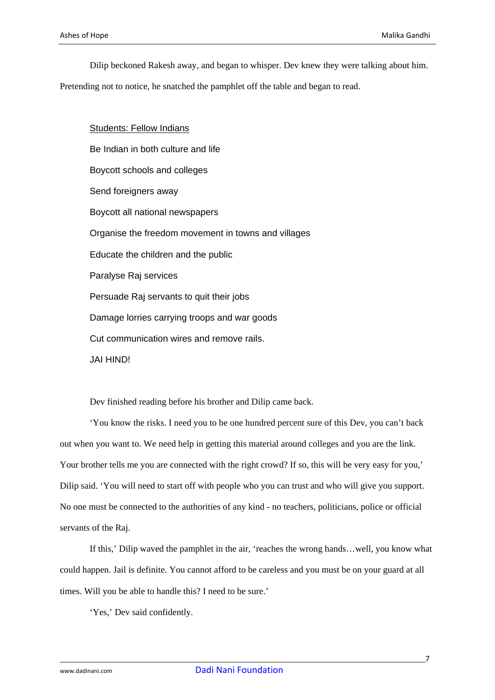Dilip beckoned Rakesh away, and began to whisper. Dev knew they were talking about him.

Pretending not to notice, he snatched the pamphlet off the table and began to read.

Students: Fellow Indians Be Indian in both culture and life Boycott schools and colleges Send foreigners away Boycott all national newspapers Organise the freedom movement in towns and villages Educate the children and the public Paralyse Raj services Persuade Raj servants to quit their jobs Damage lorries carrying troops and war goods Cut communication wires and remove rails. JAI HIND!

Dev finished reading before his brother and Dilip came back.

'You know the risks. I need you to be one hundred percent sure of this Dev, you can't back out when you want to. We need help in getting this material around colleges and you are the link. Your brother tells me you are connected with the right crowd? If so, this will be very easy for you,' Dilip said. 'You will need to start off with people who you can trust and who will give you support. No one must be connected to the authorities of any kind - no teachers, politicians, police or official servants of the Raj.

If this,' Dilip waved the pamphlet in the air, 'reaches the wrong hands…well, you know what could happen. Jail is definite. You cannot afford to be careless and you must be on your guard at all times. Will you be able to handle this? I need to be sure.'

'Yes,' Dev said confidently.